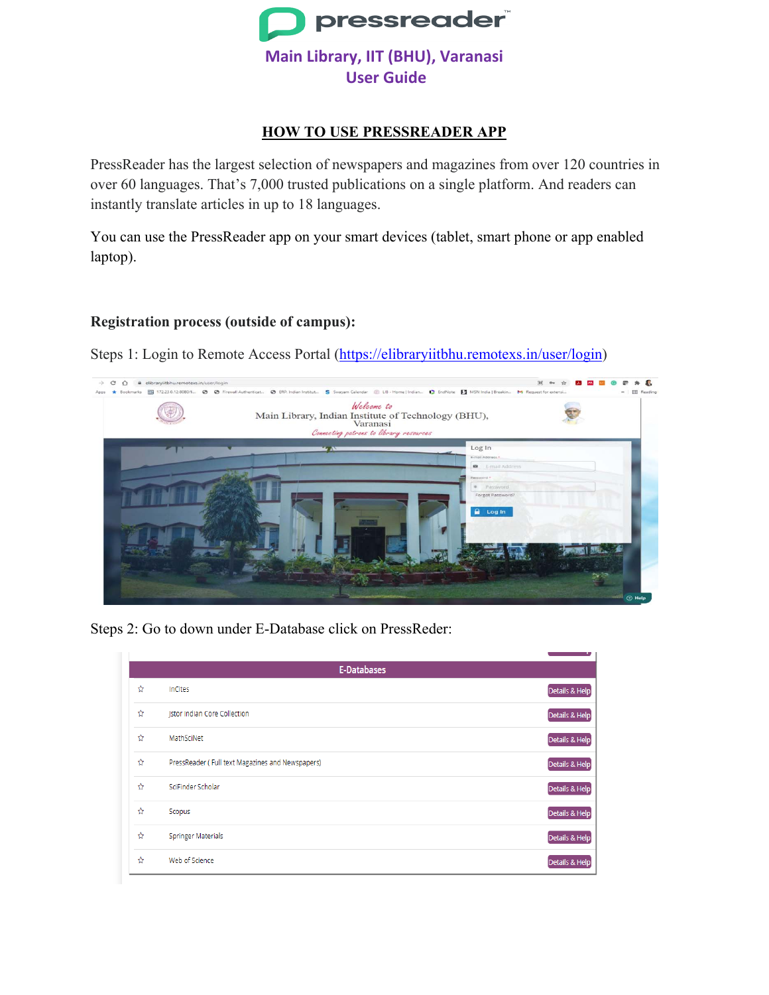

### **HOW TO USE PRESSREADER APP**

PressReader has the largest selection of newspapers and magazines from over 120 countries in over 60 languages. That's 7,000 trusted publications on a single platform. And readers can instantly translate articles in up to 18 languages.

You can use the PressReader app on your smart devices (tablet, smart phone or app enabled laptop).

### **Registration process (outside of campus):**

Steps 1: Login to Remote Access Portal [\(https://elibraryiitbhu.remotexs.in/user/login\)](https://elibraryiitbhu.remotexs.in/user/login)



Steps 2: Go to down under E-Database click on PressReder:

| E-Databases |                                                  |                |  |  |  |  |
|-------------|--------------------------------------------------|----------------|--|--|--|--|
| ☆           | InCites                                          | Details & Help |  |  |  |  |
| ☆           | <b>Jstor indian Core Collection</b>              | Details & Help |  |  |  |  |
| ☆           | MathSciNet                                       | Details & Help |  |  |  |  |
| ☆           | PressReader (Full text Magazines and Newspapers) | Details & Help |  |  |  |  |
| ☆           | SciFinder Scholar                                | Details & Help |  |  |  |  |
| ☆           | Scopus                                           | Details & Help |  |  |  |  |
| ☆           | <b>Springer Materials</b>                        | Details & Help |  |  |  |  |
| ☆           | Web of Science                                   | Details & Help |  |  |  |  |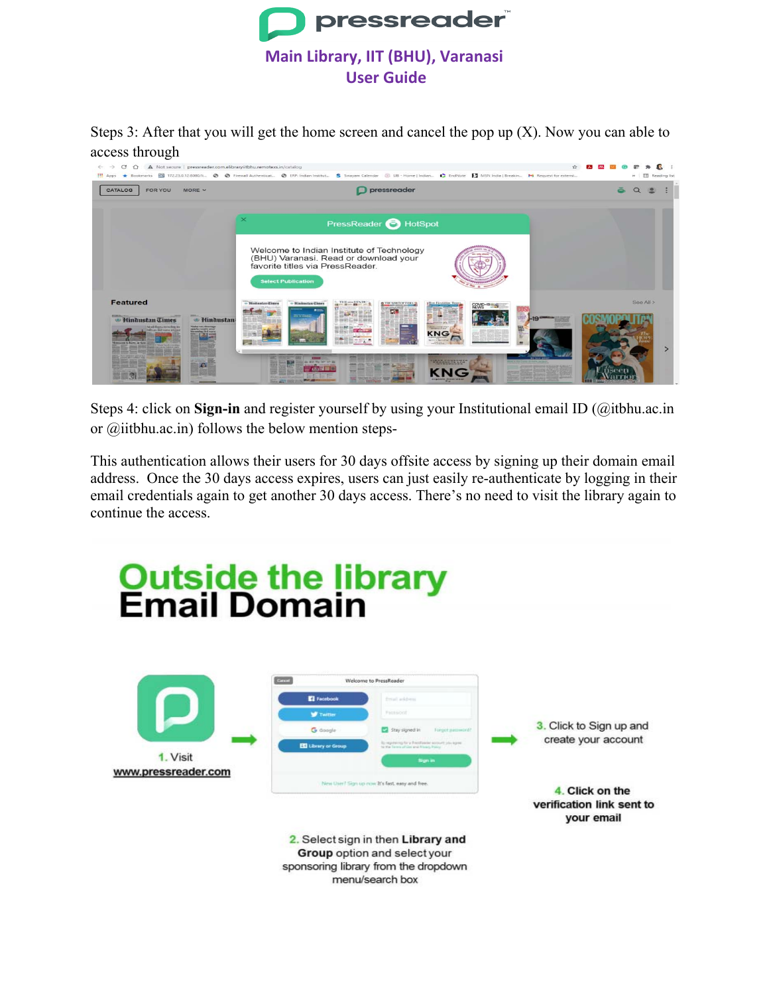

Steps 3: After that you will get the home screen and cancel the pop up  $(X)$ . Now you can able to



Steps 4: click on **Sign-in** and register yourself by using your Institutional email ID (@itbhu.ac.in or @iitbhu.ac.in) follows the below mention steps-

This authentication allows their users for 30 days offsite access by signing up their domain email address. Once the 30 days access expires, users can just easily re-authenticate by logging in their email credentials again to get another 30 days access. There's no need to visit the library again to continue the access.

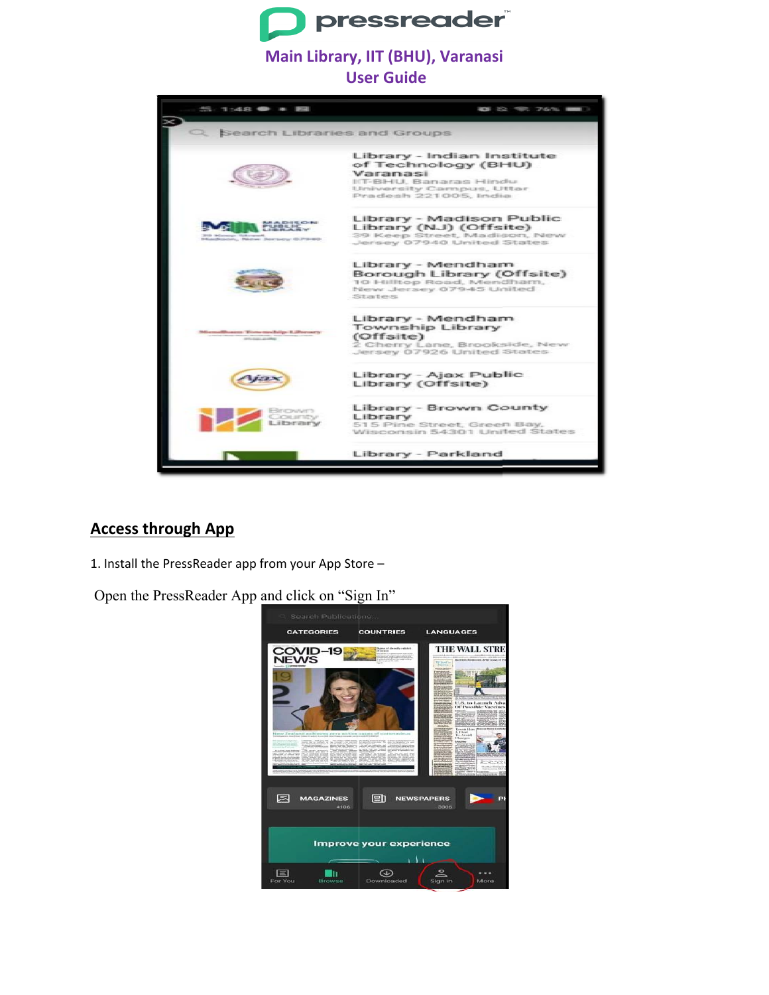

## Main Library, IIT (BHU), Varanasi

**User Guide** 



## **Access through App**

1. Install the PressReader app from your App Store -

Open the PressReader App and click on "Sign In"

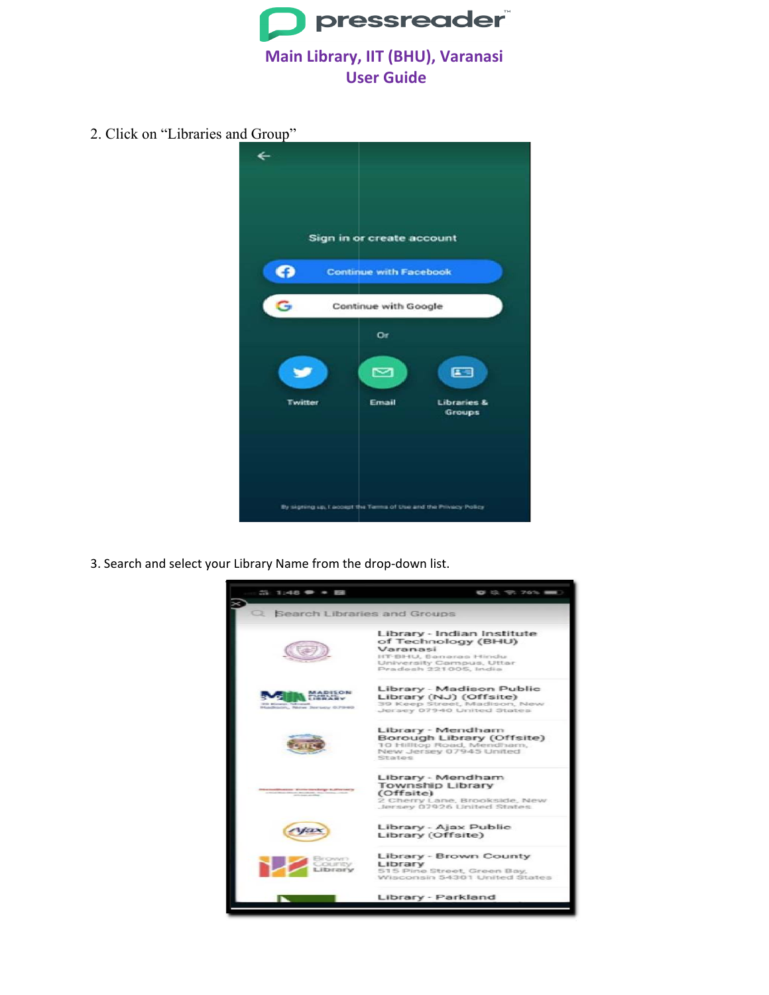

2. Click on "Libraries and Group"



3. Search and select your Library Name from the drop-down list.

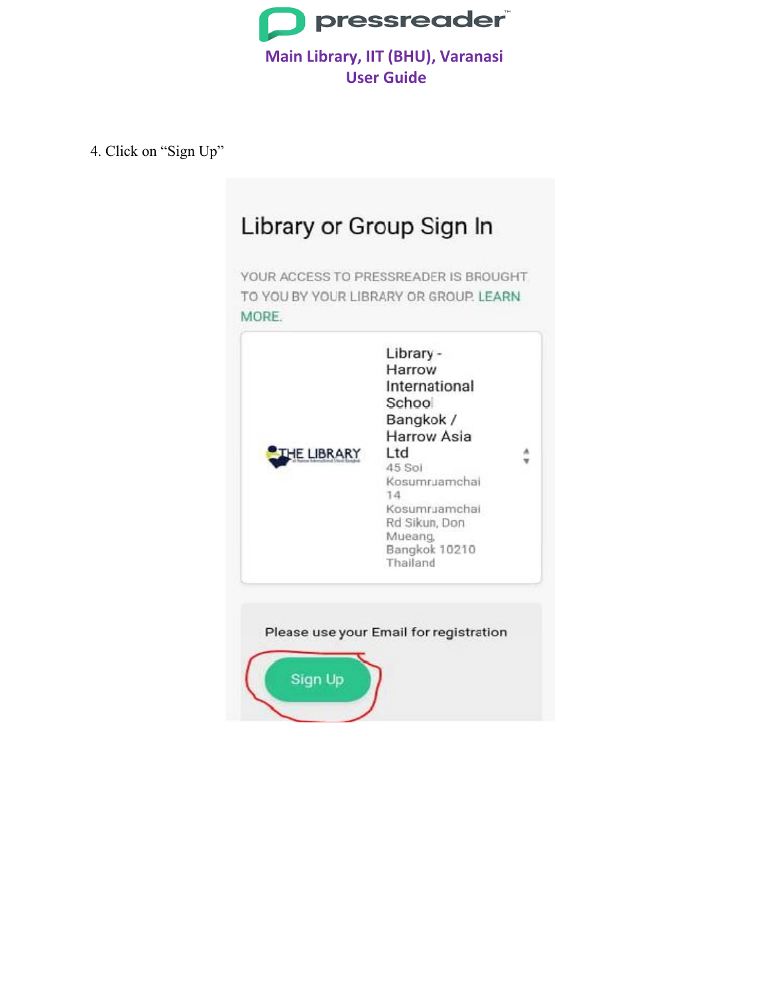

4. Click on "Sign Up"

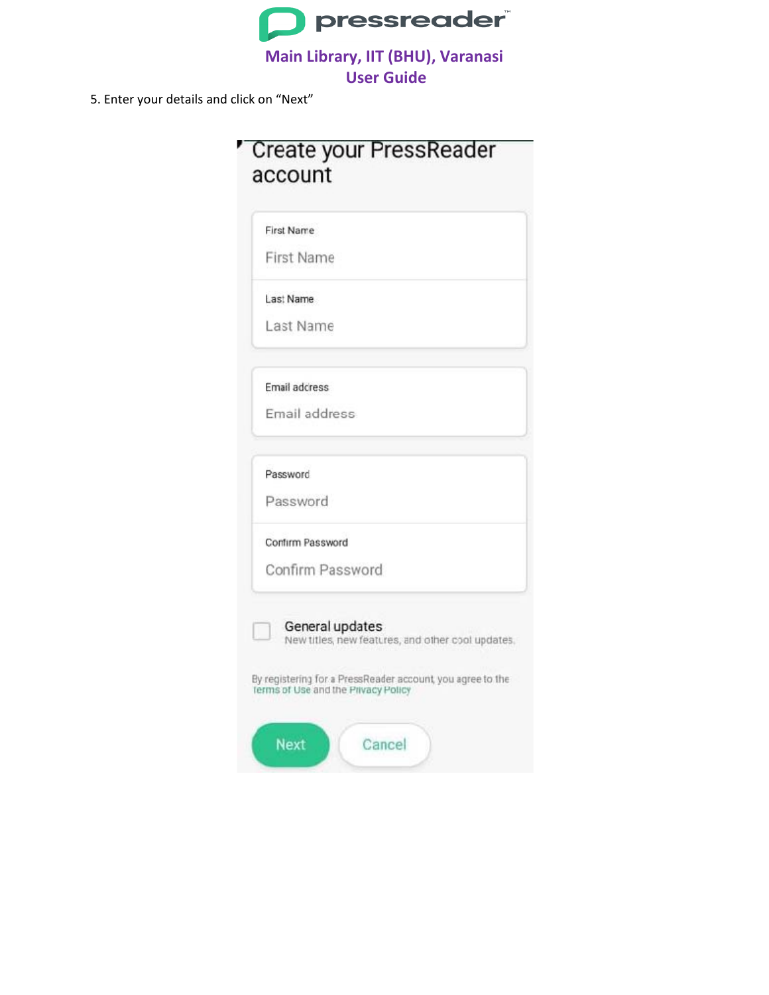

5. Enter your details and click on "Next"

,

| First Name       |                                                                                                                                                                           |  |  |
|------------------|---------------------------------------------------------------------------------------------------------------------------------------------------------------------------|--|--|
| First Name       |                                                                                                                                                                           |  |  |
| Last Name        |                                                                                                                                                                           |  |  |
| Last Name        |                                                                                                                                                                           |  |  |
| Email address    |                                                                                                                                                                           |  |  |
| Email address    |                                                                                                                                                                           |  |  |
| Password         |                                                                                                                                                                           |  |  |
| Password         |                                                                                                                                                                           |  |  |
| Confirm Password |                                                                                                                                                                           |  |  |
| Confirm Password |                                                                                                                                                                           |  |  |
|                  | General updates<br>New titles, new features, and other cool updates.<br>By registering for a PressReader account, you agree to the<br>Terms of Use and the Privacy Policy |  |  |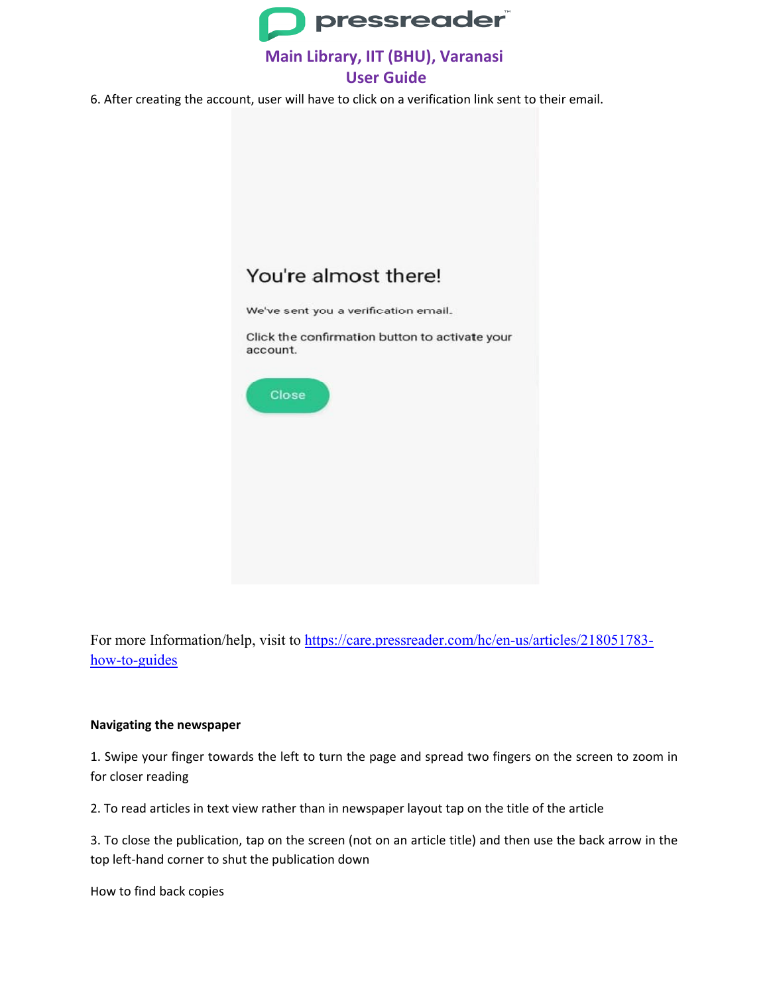

### **Main Library, IIT (BHU), Varanasi User Guide**

6. After creating the account, user will have to click on a verification link sent to their email.

# You're almost there!

We've sent you a verification email.

Click the confirmation button to activate your account.



For more Information/help, visit to [https://care.pressreader.com/hc/en-us/articles/218051783](https://care.pressreader.com/hc/en-us/articles/218051783-how-to-guides) [how-to-guides](https://care.pressreader.com/hc/en-us/articles/218051783-how-to-guides)

#### **Navigating the newspaper**

1. Swipe your finger towards the left to turn the page and spread two fingers on the screen to zoom in for closer reading

2. To read articles in text view rather than in newspaper layout tap on the title of the article

3. To close the publication, tap on the screen (not on an article title) and then use the back arrow in the top left-hand corner to shut the publication down

How to find back copies